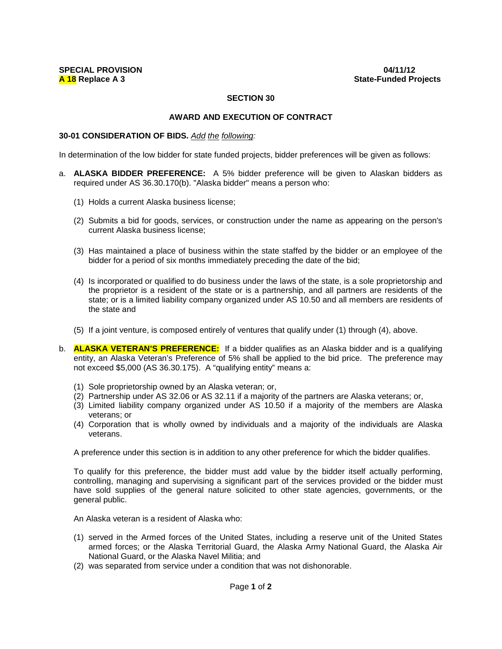## **SECTION 30**

## **AWARD AND EXECUTION OF CONTRACT**

## **30-01 CONSIDERATION OF BIDS.** *Add the following:*

In determination of the low bidder for state funded projects, bidder preferences will be given as follows:

- a. **ALASKA BIDDER PREFERENCE:** A 5% bidder preference will be given to Alaskan bidders as required under AS 36.30.170(b). "Alaska bidder" means a person who:
	- (1) Holds a current Alaska business license;
	- (2) Submits a bid for goods, services, or construction under the name as appearing on the person's current Alaska business license;
	- (3) Has maintained a place of business within the state staffed by the bidder or an employee of the bidder for a period of six months immediately preceding the date of the bid;
	- (4) Is incorporated or qualified to do business under the laws of the state, is a sole proprietorship and the proprietor is a resident of the state or is a partnership, and all partners are residents of the state; or is a limited liability company organized under AS 10.50 and all members are residents of the state and
	- (5) If a joint venture, is composed entirely of ventures that qualify under (1) through (4), above.
- b. **ALASKA VETERAN'S PREFERENCE:** If a bidder qualifies as an Alaska bidder and is a qualifying entity, an Alaska Veteran's Preference of 5% shall be applied to the bid price. The preference may not exceed \$5,000 (AS 36.30.175). A "qualifying entity" means a:
	- (1) Sole proprietorship owned by an Alaska veteran; or,
	- (2) Partnership under AS 32.06 or AS 32.11 if a majority of the partners are Alaska veterans; or,
	- (3) Limited liability company organized under AS 10.50 if a majority of the members are Alaska veterans; or
	- (4) Corporation that is wholly owned by individuals and a majority of the individuals are Alaska veterans.

A preference under this section is in addition to any other preference for which the bidder qualifies.

To qualify for this preference, the bidder must add value by the bidder itself actually performing, controlling, managing and supervising a significant part of the services provided or the bidder must have sold supplies of the general nature solicited to other state agencies, governments, or the general public.

An Alaska veteran is a resident of Alaska who:

- (1) served in the Armed forces of the United States, including a reserve unit of the United States armed forces; or the Alaska Territorial Guard, the Alaska Army National Guard, the Alaska Air National Guard, or the Alaska Navel Militia; and
- (2) was separated from service under a condition that was not dishonorable.